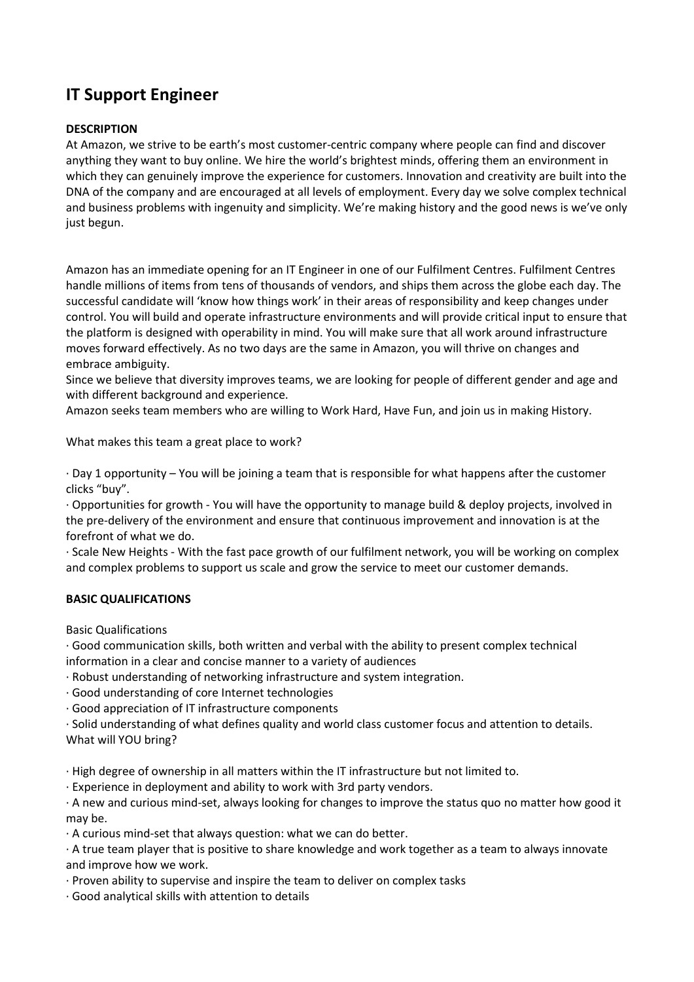## IT Support Engineer

## **DESCRIPTION**

At Amazon, we strive to be earth's most customer-centric company where people can find and discover anything they want to buy online. We hire the world's brightest minds, offering them an environment in which they can genuinely improve the experience for customers. Innovation and creativity are built into the DNA of the company and are encouraged at all levels of employment. Every day we solve complex technical and business problems with ingenuity and simplicity. We're making history and the good news is we've only just begun.

Amazon has an immediate opening for an IT Engineer in one of our Fulfilment Centres. Fulfilment Centres handle millions of items from tens of thousands of vendors, and ships them across the globe each day. The successful candidate will 'know how things work' in their areas of responsibility and keep changes under control. You will build and operate infrastructure environments and will provide critical input to ensure that the platform is designed with operability in mind. You will make sure that all work around infrastructure moves forward effectively. As no two days are the same in Amazon, you will thrive on changes and embrace ambiguity.

Since we believe that diversity improves teams, we are looking for people of different gender and age and with different background and experience.

Amazon seeks team members who are willing to Work Hard, Have Fun, and join us in making History.

What makes this team a great place to work?

· Day 1 opportunity – You will be joining a team that is responsible for what happens after the customer clicks "buy".

· Opportunities for growth - You will have the opportunity to manage build & deploy projects, involved in the pre-delivery of the environment and ensure that continuous improvement and innovation is at the forefront of what we do.

· Scale New Heights - With the fast pace growth of our fulfilment network, you will be working on complex and complex problems to support us scale and grow the service to meet our customer demands.

## BASIC QUALIFICATIONS

Basic Qualifications

· Good communication skills, both written and verbal with the ability to present complex technical information in a clear and concise manner to a variety of audiences

· Robust understanding of networking infrastructure and system integration.

· Good understanding of core Internet technologies

· Good appreciation of IT infrastructure components

· Solid understanding of what defines quality and world class customer focus and attention to details. What will YOU bring?

· High degree of ownership in all matters within the IT infrastructure but not limited to.

· Experience in deployment and ability to work with 3rd party vendors.

· A new and curious mind-set, always looking for changes to improve the status quo no matter how good it may be.

· A curious mind-set that always question: what we can do better.

· A true team player that is positive to share knowledge and work together as a team to always innovate and improve how we work.

· Proven ability to supervise and inspire the team to deliver on complex tasks

· Good analytical skills with attention to details